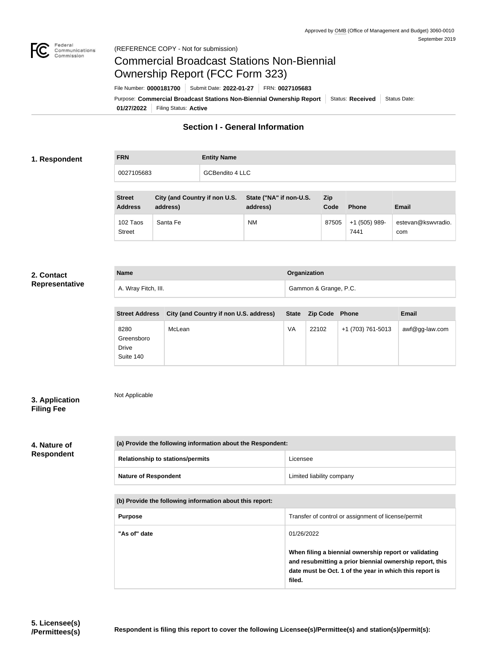

## Commercial Broadcast Stations Non-Biennial Ownership Report (FCC Form 323)

**Name Organization**

**01/27/2022** Filing Status: **Active** Purpose: Commercial Broadcast Stations Non-Biennial Ownership Report Status: Received Status Date: File Number: **0000181700** Submit Date: **2022-01-27** FRN: **0027105683**

## **Section I - General Information**

### **1. Respondent**

| <b>FRN</b> | <b>Entity Name</b>     |
|------------|------------------------|
| 0027105683 | <b>GCBendito 4 LLC</b> |

| <b>Street</b><br><b>Address</b> | City (and Country if non U.S.<br>address) | State ("NA" if non-U.S.<br>address) | Zip<br>Code | <b>Phone</b>          | Email                     |
|---------------------------------|-------------------------------------------|-------------------------------------|-------------|-----------------------|---------------------------|
| 102 Taos<br>Street              | Santa Fe                                  | <b>NM</b>                           | 87505       | +1 (505) 989-<br>7441 | estevan@kswvradio.<br>com |

#### **2. Contact Representative**

|  | pivovinan ro |  |
|--|--------------|--|
|  |              |  |
|  |              |  |

| A. Wray Fitch, III.   |                                        |    | Gammon & Grange, P.C. |                   |                   |
|-----------------------|----------------------------------------|----|-----------------------|-------------------|-------------------|
|                       |                                        |    |                       |                   |                   |
| <b>Street Address</b> | City (and Country if non U.S. address) |    | State Zip Code Phone  |                   | <b>Email</b>      |
| 8280<br>Greensboro    | McLean                                 | VA | 22102                 | +1 (703) 761-5013 | $awf@gg$ -law.com |

| 3. Application    |  |
|-------------------|--|
| <b>Filing Fee</b> |  |

# Not Applicable

Drive Suite 140

#### **4. Nature of Respondent**

| (a) Provide the following information about the Respondent: |                           |  |
|-------------------------------------------------------------|---------------------------|--|
| <b>Relationship to stations/permits</b>                     | Licensee                  |  |
| <b>Nature of Respondent</b>                                 | Limited liability company |  |

#### **(b) Provide the following information about this report:**

| <b>Purpose</b> | Transfer of control or assignment of license/permit                                                                                                                                    |
|----------------|----------------------------------------------------------------------------------------------------------------------------------------------------------------------------------------|
| "As of" date   | 01/26/2022                                                                                                                                                                             |
|                | When filing a biennial ownership report or validating<br>and resubmitting a prior biennial ownership report, this<br>date must be Oct. 1 of the year in which this report is<br>filed. |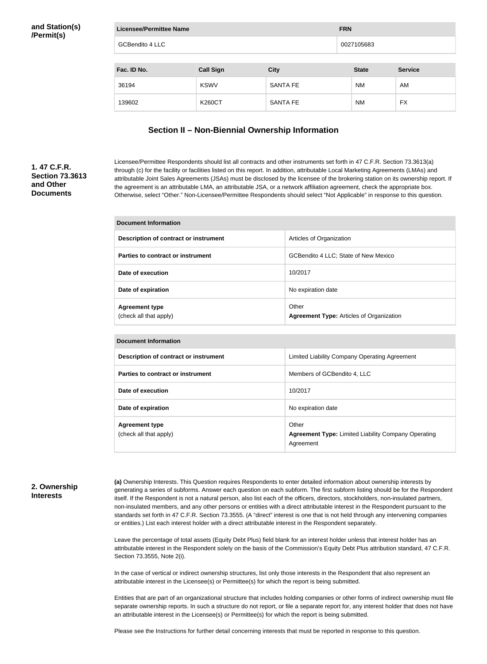| <b>Licensee/Permittee Name</b> |                  |                 | <b>FRN</b>   |                |
|--------------------------------|------------------|-----------------|--------------|----------------|
| <b>GCBendito 4 LLC</b>         |                  |                 | 0027105683   |                |
| Fac. ID No.                    | <b>Call Sign</b> | <b>City</b>     | <b>State</b> | <b>Service</b> |
|                                |                  |                 |              |                |
| 36194                          | <b>KSWV</b>      | <b>SANTA FE</b> | <b>NM</b>    | AM             |
| 139602                         | <b>K260CT</b>    | <b>SANTA FE</b> | <b>NM</b>    | <b>FX</b>      |

## **Section II – Non-Biennial Ownership Information**

## **1. 47 C.F.R. Section 73.3613 and Other Documents**

Licensee/Permittee Respondents should list all contracts and other instruments set forth in 47 C.F.R. Section 73.3613(a) through (c) for the facility or facilities listed on this report. In addition, attributable Local Marketing Agreements (LMAs) and attributable Joint Sales Agreements (JSAs) must be disclosed by the licensee of the brokering station on its ownership report. If the agreement is an attributable LMA, an attributable JSA, or a network affiliation agreement, check the appropriate box. Otherwise, select "Other." Non-Licensee/Permittee Respondents should select "Not Applicable" in response to this question.

| Document Information                            |                                                          |
|-------------------------------------------------|----------------------------------------------------------|
| Description of contract or instrument           | Articles of Organization                                 |
| Parties to contract or instrument               | GCBendito 4 LLC; State of New Mexico                     |
| Date of execution                               | 10/2017                                                  |
| Date of expiration                              | No expiration date                                       |
| <b>Agreement type</b><br>(check all that apply) | Other<br><b>Agreement Type: Articles of Organization</b> |

| <b>Document Information</b>                     |                                                                                  |
|-------------------------------------------------|----------------------------------------------------------------------------------|
| <b>Description of contract or instrument</b>    | Limited Liability Company Operating Agreement                                    |
| Parties to contract or instrument               | Members of GCBendito 4, LLC                                                      |
| Date of execution                               | 10/2017                                                                          |
| Date of expiration                              | No expiration date                                                               |
| <b>Agreement type</b><br>(check all that apply) | Other<br><b>Agreement Type: Limited Liability Company Operating</b><br>Agreement |

## **2. Ownership Interests**

**(a)** Ownership Interests. This Question requires Respondents to enter detailed information about ownership interests by generating a series of subforms. Answer each question on each subform. The first subform listing should be for the Respondent itself. If the Respondent is not a natural person, also list each of the officers, directors, stockholders, non-insulated partners, non-insulated members, and any other persons or entities with a direct attributable interest in the Respondent pursuant to the standards set forth in 47 C.F.R. Section 73.3555. (A "direct" interest is one that is not held through any intervening companies or entities.) List each interest holder with a direct attributable interest in the Respondent separately.

Leave the percentage of total assets (Equity Debt Plus) field blank for an interest holder unless that interest holder has an attributable interest in the Respondent solely on the basis of the Commission's Equity Debt Plus attribution standard, 47 C.F.R. Section 73.3555, Note 2(i).

In the case of vertical or indirect ownership structures, list only those interests in the Respondent that also represent an attributable interest in the Licensee(s) or Permittee(s) for which the report is being submitted.

Entities that are part of an organizational structure that includes holding companies or other forms of indirect ownership must file separate ownership reports. In such a structure do not report, or file a separate report for, any interest holder that does not have an attributable interest in the Licensee(s) or Permittee(s) for which the report is being submitted.

Please see the Instructions for further detail concerning interests that must be reported in response to this question.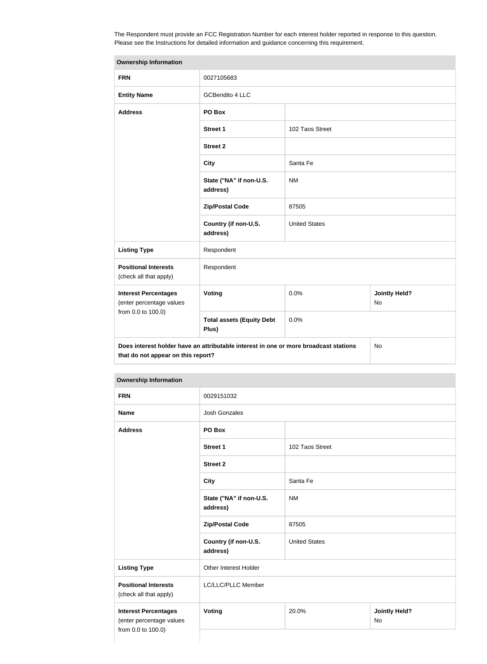The Respondent must provide an FCC Registration Number for each interest holder reported in response to this question. Please see the Instructions for detailed information and guidance concerning this requirement.

| <b>Ownership Information</b>                            |                                                                                      |                      |                                   |
|---------------------------------------------------------|--------------------------------------------------------------------------------------|----------------------|-----------------------------------|
| <b>FRN</b>                                              | 0027105683                                                                           |                      |                                   |
| <b>Entity Name</b>                                      | <b>GCBendito 4 LLC</b>                                                               |                      |                                   |
| <b>Address</b>                                          | PO Box                                                                               |                      |                                   |
|                                                         | <b>Street 1</b>                                                                      | 102 Taos Street      |                                   |
|                                                         | <b>Street 2</b>                                                                      |                      |                                   |
|                                                         | <b>City</b>                                                                          | Santa Fe             |                                   |
|                                                         | State ("NA" if non-U.S.<br>address)                                                  | <b>NM</b>            |                                   |
|                                                         | <b>Zip/Postal Code</b>                                                               | 87505                |                                   |
|                                                         | Country (if non-U.S.<br>address)                                                     | <b>United States</b> |                                   |
| <b>Listing Type</b>                                     | Respondent                                                                           |                      |                                   |
| <b>Positional Interests</b><br>(check all that apply)   | Respondent                                                                           |                      |                                   |
| <b>Interest Percentages</b><br>(enter percentage values | Voting                                                                               | 0.0%                 | <b>Jointly Held?</b><br><b>No</b> |
| from 0.0 to 100.0)                                      | <b>Total assets (Equity Debt</b><br>Plus)                                            | 0.0%                 |                                   |
| that do not appear on this report?                      | Does interest holder have an attributable interest in one or more broadcast stations |                      | No                                |

| <b>FRN</b>                                                                    | 0029151032                          |                      |                            |
|-------------------------------------------------------------------------------|-------------------------------------|----------------------|----------------------------|
| <b>Name</b>                                                                   | <b>Josh Gonzales</b>                |                      |                            |
| <b>Address</b>                                                                | PO Box                              |                      |                            |
|                                                                               | <b>Street 1</b>                     | 102 Taos Street      |                            |
|                                                                               | <b>Street 2</b>                     |                      |                            |
|                                                                               | <b>City</b>                         | Santa Fe             |                            |
|                                                                               | State ("NA" if non-U.S.<br>address) | <b>NM</b>            |                            |
|                                                                               | <b>Zip/Postal Code</b>              | 87505                |                            |
|                                                                               | Country (if non-U.S.<br>address)    | <b>United States</b> |                            |
| <b>Listing Type</b>                                                           | Other Interest Holder               |                      |                            |
| <b>Positional Interests</b><br>(check all that apply)                         | LC/LLC/PLLC Member                  |                      |                            |
| <b>Interest Percentages</b><br>(enter percentage values<br>from 0.0 to 100.0) | <b>Voting</b>                       | 20.0%                | <b>Jointly Held?</b><br>No |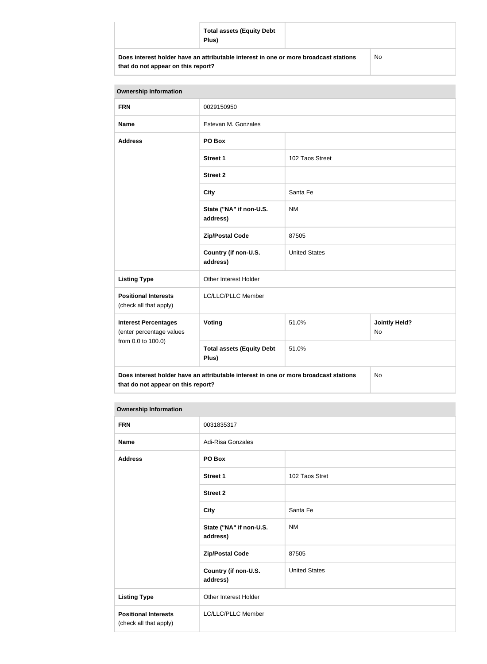|                                                                                                                            | <b>Total assets (Equity Debt</b><br>Plus) |    |  |
|----------------------------------------------------------------------------------------------------------------------------|-------------------------------------------|----|--|
| Does interest holder have an attributable interest in one or more broadcast stations<br>that do not appear on this report? |                                           | No |  |

| <b>Ownership Information</b>                                                                                                     |                                           |                      |                            |  |
|----------------------------------------------------------------------------------------------------------------------------------|-------------------------------------------|----------------------|----------------------------|--|
| <b>FRN</b>                                                                                                                       | 0029150950                                |                      |                            |  |
| <b>Name</b>                                                                                                                      | Estevan M. Gonzales                       |                      |                            |  |
| <b>Address</b>                                                                                                                   | PO Box                                    |                      |                            |  |
|                                                                                                                                  | <b>Street 1</b>                           | 102 Taos Street      |                            |  |
|                                                                                                                                  | <b>Street 2</b>                           |                      |                            |  |
|                                                                                                                                  | <b>City</b>                               | Santa Fe             |                            |  |
|                                                                                                                                  | State ("NA" if non-U.S.<br>address)       | <b>NM</b>            |                            |  |
|                                                                                                                                  | <b>Zip/Postal Code</b>                    | 87505                |                            |  |
|                                                                                                                                  | Country (if non-U.S.<br>address)          | <b>United States</b> |                            |  |
| <b>Listing Type</b>                                                                                                              | Other Interest Holder                     |                      |                            |  |
| <b>Positional Interests</b><br>(check all that apply)                                                                            | LC/LLC/PLLC Member                        |                      |                            |  |
| <b>Interest Percentages</b><br>(enter percentage values<br>from 0.0 to 100.0)                                                    | <b>Voting</b>                             | 51.0%                | <b>Jointly Held?</b><br>No |  |
|                                                                                                                                  | <b>Total assets (Equity Debt</b><br>Plus) | 51.0%                |                            |  |
| Does interest holder have an attributable interest in one or more broadcast stations<br>No<br>that do not appear on this report? |                                           |                      |                            |  |

#### **Ownership Information**

| <b>FRN</b>                                            | 0031835317                          |                      |
|-------------------------------------------------------|-------------------------------------|----------------------|
| <b>Name</b>                                           | Adi-Risa Gonzales                   |                      |
| <b>Address</b>                                        | PO Box                              |                      |
|                                                       | <b>Street 1</b>                     | 102 Taos Stret       |
|                                                       | <b>Street 2</b>                     |                      |
|                                                       | <b>City</b>                         | Santa Fe             |
|                                                       | State ("NA" if non-U.S.<br>address) | <b>NM</b>            |
|                                                       | <b>Zip/Postal Code</b>              | 87505                |
|                                                       | Country (if non-U.S.<br>address)    | <b>United States</b> |
| <b>Listing Type</b>                                   | Other Interest Holder               |                      |
| <b>Positional Interests</b><br>(check all that apply) | LC/LLC/PLLC Member                  |                      |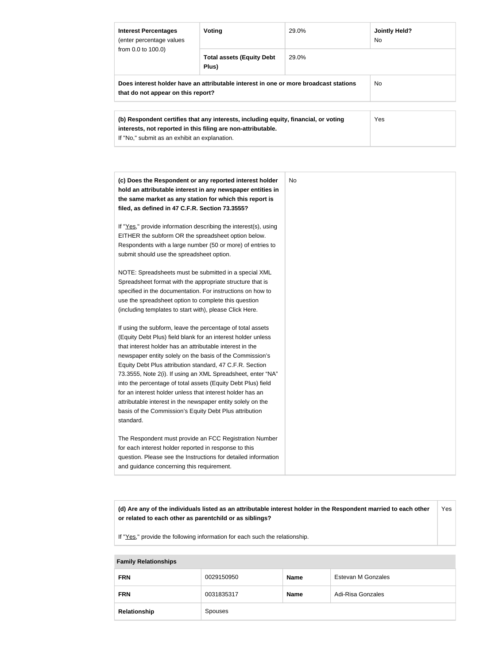| <b>Interest Percentages</b><br>(enter percentage values<br>from $0.0$ to $100.0$ )                                         | Voting                                                                                                                                              | 29.0% | <b>Jointly Held?</b><br>N <sub>o</sub> |
|----------------------------------------------------------------------------------------------------------------------------|-----------------------------------------------------------------------------------------------------------------------------------------------------|-------|----------------------------------------|
|                                                                                                                            | <b>Total assets (Equity Debt</b><br>Plus)                                                                                                           | 29.0% |                                        |
| Does interest holder have an attributable interest in one or more broadcast stations<br>that do not appear on this report? |                                                                                                                                                     |       | No.                                    |
|                                                                                                                            | (b) Respondent certifies that any interests, including equity, financial, or voting<br>interests, not reported in this filing are non-attributable. |       | <b>Yes</b>                             |

If "No," submit as an exhibit an explanation.

| (c) Does the Respondent or any reported interest holder<br>hold an attributable interest in any newspaper entities in<br>the same market as any station for which this report is<br>filed, as defined in 47 C.F.R. Section 73.3555?                                                                                                                                                                                                                                                                                                                                                                                                              | No |
|--------------------------------------------------------------------------------------------------------------------------------------------------------------------------------------------------------------------------------------------------------------------------------------------------------------------------------------------------------------------------------------------------------------------------------------------------------------------------------------------------------------------------------------------------------------------------------------------------------------------------------------------------|----|
| If "Yes," provide information describing the interest(s), using<br>EITHER the subform OR the spreadsheet option below.<br>Respondents with a large number (50 or more) of entries to<br>submit should use the spreadsheet option.                                                                                                                                                                                                                                                                                                                                                                                                                |    |
| NOTE: Spreadsheets must be submitted in a special XML<br>Spreadsheet format with the appropriate structure that is<br>specified in the documentation. For instructions on how to<br>use the spreadsheet option to complete this question<br>(including templates to start with), please Click Here.                                                                                                                                                                                                                                                                                                                                              |    |
| If using the subform, leave the percentage of total assets<br>(Equity Debt Plus) field blank for an interest holder unless<br>that interest holder has an attributable interest in the<br>newspaper entity solely on the basis of the Commission's<br>Equity Debt Plus attribution standard, 47 C.F.R. Section<br>73.3555, Note 2(i). If using an XML Spreadsheet, enter "NA"<br>into the percentage of total assets (Equity Debt Plus) field<br>for an interest holder unless that interest holder has an<br>attributable interest in the newspaper entity solely on the<br>basis of the Commission's Equity Debt Plus attribution<br>standard. |    |
| The Respondent must provide an FCC Registration Number<br>for each interest holder reported in response to this<br>question. Please see the Instructions for detailed information<br>and guidance concerning this requirement.                                                                                                                                                                                                                                                                                                                                                                                                                   |    |

**(d) Are any of the individuals listed as an attributable interest holder in the Respondent married to each other or related to each other as parentchild or as siblings?** Yes

If "Yes," provide the following information for each such the relationship.

## **Family Relationships**

| <b>FRN</b>   | 0029150950 | <b>Name</b> | Estevan M Gonzales |
|--------------|------------|-------------|--------------------|
| <b>FRN</b>   | 0031835317 | <b>Name</b> | Adi-Risa Gonzales  |
| Relationship | Spouses    |             |                    |